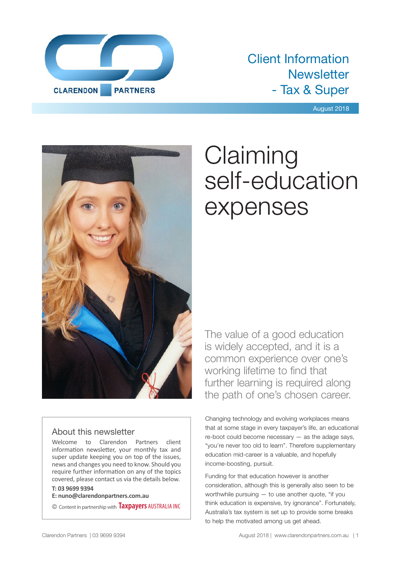

# Client Information **Newsletter** - Tax & Super

August 2018



# **Claiming** self-education expenses

The value of a good education is widely accepted, and it is a common experience over one's working lifetime to find that further learning is required along the path of one's chosen career.

# About this newsletter

Welcome to Clarendon Partners client information newsletter, your monthly tax and super update keeping you on top of the issues, news and changes you need to know. Should you require further information on any of the topics covered, please contact us via the details below.

### **T: 03 9699 9394**

**E: nuno@clarendonpartners.com.au**

© Content in partnership with **Taxpayers** AUSTRALIA INC

Changing technology and evolving workplaces means that at some stage in every taxpayer's life, an educational re-boot could become necessary — as the adage says, "you're never too old to learn". Therefore supplementary education mid-career is a valuable, and hopefully income-boosting, pursuit.

Funding for that education however is another consideration, although this is generally also seen to be worthwhile pursuing — to use another quote, "if you think education is expensive, try ignorance". Fortunately, Australia's tax system is set up to provide some breaks to help the motivated among us get ahead.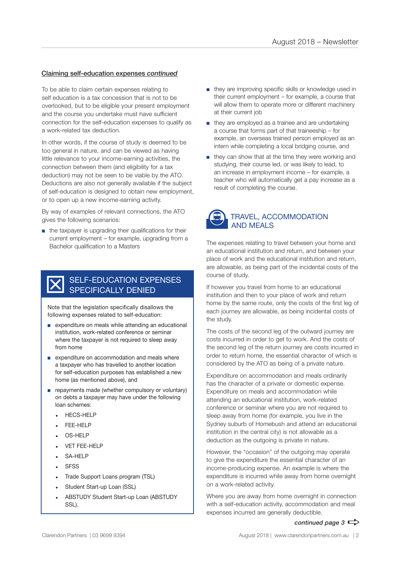#### Claiming self-education expenses *continued*

To be able to claim certain expenses relating to self education is a tax concession that is not to be overlooked, but to be eligible your present employment and the course you undertake must have sufficient connection for the self-education expenses to qualify as a work-related tax deduction.

In other words, if the course of study is deemed to be too general in nature, and can be viewed as having little relevance to your income-earning activities, the connection between them (and eligibility for a tax deduction) may not be seen to be viable by the ATO. Deductions are also not generally available if the subject of self-education is designed to obtain new employment, or to open up a new income-earning activity.

By way of examples of relevant connections, the ATO gives the following scenarios:

■ the taxpayer is upgrading their qualifications for their current employment – for example, upgrading from a Bachelor qualification to a Masters

## SELF-EDUCATION EXPENSES SPECIFICALLY DENIED

Note that the legislation specifically disallows the following expenses related to self-education:

- expenditure on meals while attending an educational institution, work-related conference or seminar where the taxpayer is not required to sleep away from home
- expenditure on accommodation and meals where a taxpayer who has travelled to another location for self-education purposes has established a new home (as mentioned above), and
- repayments made (whether compulsory or voluntary) on debts a taxpayer may have under the following loan schemes:
	- HECS-HELP
	- FEE-HELP
	- OS-HELP
	- **VET FEE-HELP**
	- $-$  SA-HFLP
	- **SFSS**
	- Trade Support Loans program (TSL)
	- Student Start-up Loan (SSL)
	- ABSTUDY Student Start-up Loan (ABSTUDY SSL).
- they are improving specific skills or knowledge used in their current employment – for example, a course that will allow them to operate more or different machinery at their current job
- they are employed as a trainee and are undertaking a course that forms part of that traineeship – for example, an overseas trained person employed as an intern while completing a local bridging course, and
- they can show that at the time they were working and studying, their course led, or was likely to lead, to an increase in employment income – for example, a teacher who will automatically get a pay increase as a result of completing the course.



The expenses relating to travel between your home and an educational institution and return, and between your place of work and the educational institution and return, are allowable, as being part of the incidental costs of the course of study.

If however you travel from home to an educational institution and then to your place of work and return home by the same route, only the costs of the first leg of each journey are allowable, as being incidental costs of the study.

The costs of the second leg of the outward journey are costs incurred in order to get to work. And the costs of the second leg of the return journey are costs incurred in order to return home, the essential character of which is considered by the ATO as being of a private nature.

Expenditure on accommodation and meals ordinarily has the character of a private or domestic expense. Expenditure on meals and accommodation while attending an educational institution, work-related conference or seminar where you are not required to sleep away from home (for example, you live in the Sydney suburb of Homebush and attend an educational institution in the central city) is not allowable as a deduction as the outgoing is private in nature.

However, the "occasion" of the outgoing may operate to give the expenditure the essential character of an income-producing expense. An example is where the expenditure is incurred while away from home overnight on a work-related activity.

Where you are away from home overnight in connection with a self-education activity, accommodation and meal expenses incurred are generally deductible.

### *continued page 3*  $\Rightarrow$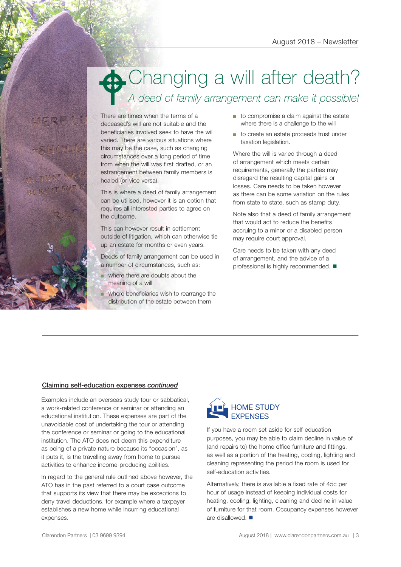# Changing a will after death? *A deed of family arrangement can make it possible!*  $\bullet$

There are times when the terms of a deceased's will are not suitable and the beneficiaries involved seek to have the will varied. There are various situations where this may be the case, such as changing circumstances over a long period of time from when the will was first drafted, or an estrangement between family members is healed (or vice versa).

This is where a deed of family arrangement can be utilised, however it is an option that requires all interested parties to agree on the outcome.

This can however result in settlement outside of litigation, which can otherwise tie up an estate for months or even years.

Deeds of family arrangement can be used in a number of circumstances, such as:

■ where there are doubts about the meaning of a will

where beneficiaries wish to rearrange the distribution of the estate between them

- to compromise a claim against the estate where there is a challenge to the will
- to create an estate proceeds trust under taxation legislation.

Where the will is varied through a deed of arrangement which meets certain requirements, generally the parties may disregard the resulting capital gains or losses. Care needs to be taken however as there can be some variation on the rules from state to state, such as stamp duty.

Note also that a deed of family arrangement that would act to reduce the benefits accruing to a minor or a disabled person may require court approval.

Care needs to be taken with any deed of arrangement, and the advice of a professional is highly recommended.  $\blacksquare$ 

### Claiming self-education expenses *continued*

Examples include an overseas study tour or sabbatical, a work-related conference or seminar or attending an educational institution. These expenses are part of the unavoidable cost of undertaking the tour or attending the conference or seminar or going to the educational institution. The ATO does not deem this expenditure as being of a private nature because its "occasion", as it puts it, is the travelling away from home to pursue activities to enhance income-producing abilities.

In regard to the general rule outlined above however, the ATO has in the past referred to a court case outcome that supports its view that there may be exceptions to deny travel deductions, for example where a taxpayer establishes a new home while incurring educational expenses.



If you have a room set aside for self-education purposes, you may be able to claim decline in value of (and repairs to) the home office furniture and fittings, as well as a portion of the heating, cooling, lighting and cleaning representing the period the room is used for self-education activities.

Alternatively, there is available a fixed rate of 45c per hour of usage instead of keeping individual costs for heating, cooling, lighting, cleaning and decline in value of furniture for that room. Occupancy expenses however are disallowed.  $\blacksquare$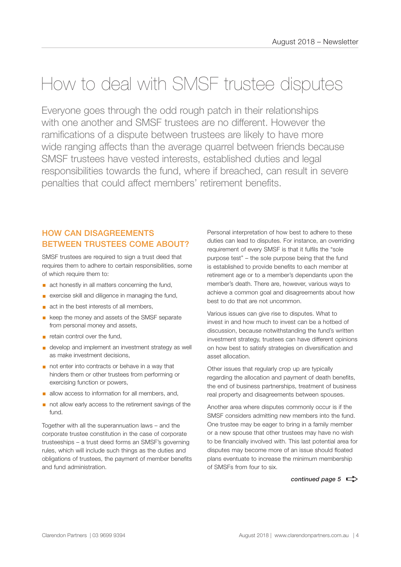# How to deal with SMSF trustee disputes

Everyone goes through the odd rough patch in their relationships with one another and SMSF trustees are no different. However the ramifications of a dispute between trustees are likely to have more wide ranging affects than the average quarrel between friends because SMSF trustees have vested interests, established duties and legal responsibilities towards the fund, where if breached, can result in severe penalties that could affect members' retirement benefits.

# HOW CAN DISAGREEMENTS BETWEEN TRUSTEES COME ABOUT?

SMSF trustees are required to sign a trust deed that requires them to adhere to certain responsibilities, some of which require them to:

- act honestly in all matters concerning the fund,
- exercise skill and diligence in managing the fund,
- act in the best interests of all members,
- keep the money and assets of the SMSF separate from personal money and assets,
- **E** retain control over the fund.
- develop and implement an investment strategy as well as make investment decisions,
- not enter into contracts or behave in a way that hinders them or other trustees from performing or exercising function or powers,
- **a** allow access to information for all members, and,
- not allow early access to the retirement savings of the fund.

Together with all the superannuation laws – and the corporate trustee constitution in the case of corporate trusteeships – a trust deed forms an SMSF's governing rules, which will include such things as the duties and obligations of trustees, the payment of member benefits and fund administration.

Personal interpretation of how best to adhere to these duties can lead to disputes. For instance, an overriding requirement of every SMSF is that it fulfils the "sole purpose test" – the sole purpose being that the fund is established to provide benefits to each member at retirement age or to a member's dependants upon the member's death. There are, however, various ways to achieve a common goal and disagreements about how best to do that are not uncommon.

Various issues can give rise to disputes. What to invest in and how much to invest can be a hotbed of discussion, because notwithstanding the fund's written investment strategy, trustees can have different opinions on how best to satisfy strategies on diversification and asset allocation.

Other issues that regularly crop up are typically regarding the allocation and payment of death benefits, the end of business partnerships, treatment of business real property and disagreements between spouses.

Another area where disputes commonly occur is if the SMSF considers admitting new members into the fund. One trustee may be eager to bring in a family member or a new spouse that other trustees may have no wish to be financially involved with. This last potential area for disputes may become more of an issue should floated plans eventuate to increase the minimum membership of SMSFs from four to six.

*continued page 5*  $\Rightarrow$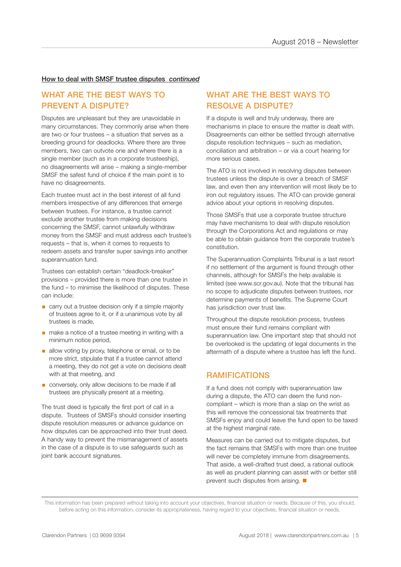#### How to deal with SMSF trustee disputes *continued*

## WHAT ARE THE BEST WAYS TO PREVENT A DISPUTE?

Disputes are unpleasant but they are unavoidable in many circumstances. They commonly arise when there are two or four trustees – a situation that serves as a breeding ground for deadlocks. Where there are three members, two can outvote one and where there is a single member (such as in a corporate trusteeship), no disagreements will arise – making a single-member SMSF the safest fund of choice if the main point is to have no disagreements.

Each trustee must act in the best interest of all fund members irrespective of any differences that emerge between trustees. For instance, a trustee cannot exclude another trustee from making decisions concerning the SMSF, cannot unlawfully withdraw money from the SMSF and must address each trustee's requests – that is, when it comes to requests to redeem assets and transfer super savings into another superannuation fund.

Trustees can establish certain "deadlock-breaker" provisions – provided there is more than one trustee in the fund – to minimise the likelihood of disputes. These can include:

- carry out a trustee decision only if a simple majority of trustees agree to it, or if a unanimous vote by all trustees is made,
- make a notice of a trustee meeting in writing with a minimum notice period,
- allow voting by proxy, telephone or email, or to be more strict, stipulate that if a trustee cannot attend a meeting, they do not get a vote on decisions dealt with at that meeting, and
- conversely, only allow decisions to be made if all trustees are physically present at a meeting.

The trust deed is typically the first port of call in a dispute. Trustees of SMSFs should consider inserting dispute resolution measures or advance guidance on how disputes can be approached into their trust deed. A handy way to prevent the mismanagement of assets in the case of a dispute is to use safeguards such as joint bank account signatures.

## WHAT ARE THE BEST WAYS TO RESOLVE A DISPUTE?

If a dispute is well and truly underway, there are mechanisms in place to ensure the matter is dealt with. Disagreements can either be settled through alternative dispute resolution techniques – such as mediation, conciliation and arbitration – or via a court hearing for more serious cases.

The ATO is not involved in resolving disputes between trustees unless the dispute is over a breach of SMSF law, and even then any intervention will most likely be to iron out regulatory issues. The ATO can provide general advice about your options in resolving disputes.

Those SMSFs that use a corporate trustee structure may have mechanisms to deal with dispute resolution through the Corporations Act and regulations or may be able to obtain guidance from the corporate trustee's constitution.

The Superannuation Complaints Tribunal is a last resort if no settlement of the argument is found through other channels, although for SMSFs the help available is limited (see www.scr.gov.au). Note that the tribunal has no scope to adjudicate disputes between trustees, nor determine payments of benefits. The Supreme Court has jurisdiction over trust law.

Throughout the dispute resolution process, trustees must ensure their fund remains compliant with superannuation law. One important step that should not be overlooked is the updating of legal documents in the aftermath of a dispute where a trustee has left the fund.

### RAMIFICATIONS

If a fund does not comply with superannuation law during a dispute, the ATO can deem the fund noncompliant – which is more than a slap on the wrist as this will remove the concessional tax treatments that SMSFs enjoy and could leave the fund open to be taxed at the highest marginal rate.

Measures can be carried out to mitigate disputes, but the fact remains that SMSFs with more than one trustee will never be completely immune from disagreements. That aside, a well-drafted trust deed, a rational outlook as well as prudent planning can assist with or better still prevent such disputes from arising.  $\blacksquare$ 

This information has been prepared without taking into account your objectives, financial situation or needs. Because of this, you should, before acting on this information, consider its appropriateness, having regard to your objectives, financial situation or needs.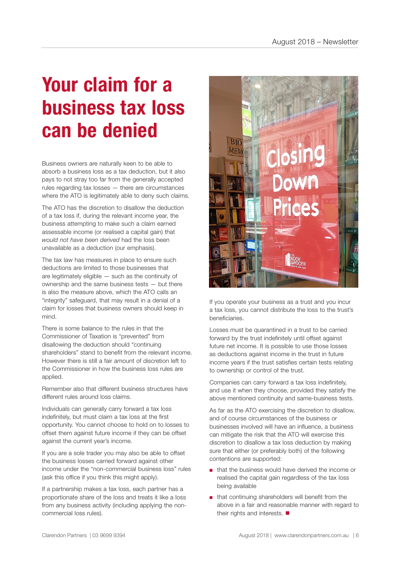# **Your claim for a business tax loss can be denied**

Business owners are naturally keen to be able to absorb a business loss as a tax deduction, but it also pays to not stray too far from the generally accepted rules regarding tax losses — there are circumstances where the ATO is legitimately able to deny such claims.

The ATO has the discretion to disallow the deduction of a tax loss if, during the relevant income year, the business attempting to make such a claim earned assessable income (or realised a capital gain) that *would not have been derived* had the loss been unavailable as a deduction (our emphasis).

The tax law has measures in place to ensure such deductions are limited to those businesses that are legitimately eligible — such as the continuity of ownership and the same business tests — but there is also the measure above, which the ATO calls an "integrity" safeguard, that may result in a denial of a claim for losses that business owners should keep in mind.

There is some balance to the rules in that the Commissioner of Taxation is "prevented" from disallowing the deduction should "continuing shareholders" stand to benefit from the relevant income. However there is still a fair amount of discretion left to the Commissioner in how the business loss rules are applied.

Remember also that different business structures have different rules around loss claims.

Individuals can generally carry forward a tax loss indefinitely, but must claim a tax loss at the first opportunity. You cannot choose to hold on to losses to offset them against future income if they can be offset against the current year's income.

If you are a sole trader you may also be able to offset the business losses carried forward against other income under the "non-commercial business loss" rules (ask this office if you think this might apply).

If a partnership makes a tax loss, each partner has a proportionate share of the loss and treats it like a loss from any business activity (including applying the noncommercial loss rules).



If you operate your business as a trust and you incur a tax loss, you cannot distribute the loss to the trust's beneficiaries.

Losses must be quarantined in a trust to be carried forward by the trust indefinitely until offset against future net income. It is possible to use those losses as deductions against income in the trust in future income years if the trust satisfies certain tests relating to ownership or control of the trust.

Companies can carry forward a tax loss indefinitely, and use it when they choose, provided they satisfy the above mentioned continuity and same-business tests.

As far as the ATO exercising the discretion to disallow, and of course circumstances of the business or businesses involved will have an influence, a business can mitigate the risk that the ATO will exercise this discretion to disallow a tax loss deduction by making sure that either (or preferably both) of the following contentions are supported:

- that the business would have derived the income or realised the capital gain regardless of the tax loss being available
- that continuing shareholders will benefit from the above in a fair and reasonable manner with regard to their rights and interests.  $\blacksquare$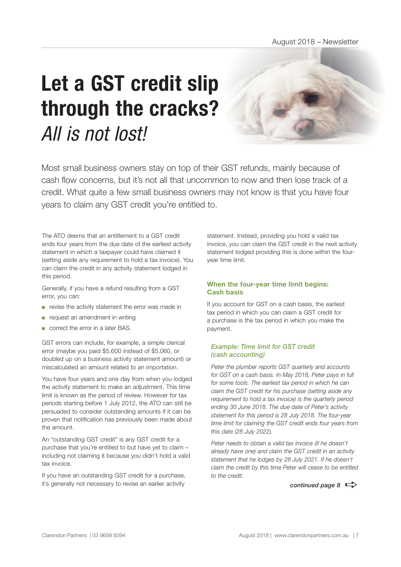# **Let a GST credit slip through the cracks?** *All is not lost!*

Most small business owners stay on top of their GST refunds, mainly because of cash flow concerns, but it's not all that uncommon to now and then lose track of a credit. What quite a few small business owners may not know is that you have four years to claim any GST credit you're entitled to.

The ATO deems that an entitlement to a GST credit ends four years from the due date of the earliest activity statement in which a taxpayer could have claimed it (setting aside any requirement to hold a tax invoice). You can claim the credit in any activity statement lodged in this period.

Generally, if you have a refund resulting from a GST error, you can:

- revise the activity statement the error was made in
- request an amendment in writing
- correct the error in a later BAS.

GST errors can include, for example, a simple clerical error (maybe you paid \$5,600 instead of \$5,060, or doubled up on a business activity statement amount) or miscalculated an amount related to an importation.

You have four years and one day from when you lodged the activity statement to make an adjustment. This time limit is known as the period of review. However for tax periods starting before 1 July 2012, the ATO can still be persuaded to consider outstanding amounts if it can be proven that notification has previously been made about the amount.

An "outstanding GST credit" is any GST credit for a purchase that you're entitled to but have yet to claim – including not claiming it because you didn't hold a valid tax invoice.

If you have an outstanding GST credit for a purchase, it's generally not necessary to revise an earlier activity

statement. Instead, providing you hold a valid tax invoice, you can claim the GST credit in the next activity statement lodged providing this is done within the fouryear time limit.

### **When the four-year time limit begins: Cash basis**

If you account for GST on a cash basis, the earliest tax period in which you can claim a GST credit for a purchase is the tax period in which you make the payment.

#### *Example: Time limit for GST credit (cash accounting)*

*Peter the plumber reports GST quarterly and accounts for GST on a cash basis. In May 2018, Peter pays in full for some tools. The earliest tax period in which he can claim the GST credit for his purchase (setting aside any requirement to hold a tax invoice) is the quarterly period ending 30 June 2018. The due date of Peter's activity statement for this period is 28 July 2018. The four-year time limit for claiming the GST credit ends four years from this date (28 July 2022).*

*Peter needs to obtain a valid tax invoice (if he doesn't already have one) and claim the GST credit in an activity statement that he lodges by 28 July 2021. If he doesn't claim the credit by this time Peter will cease to be entitled to the credit.*

*continued page 8*  $\Rightarrow$